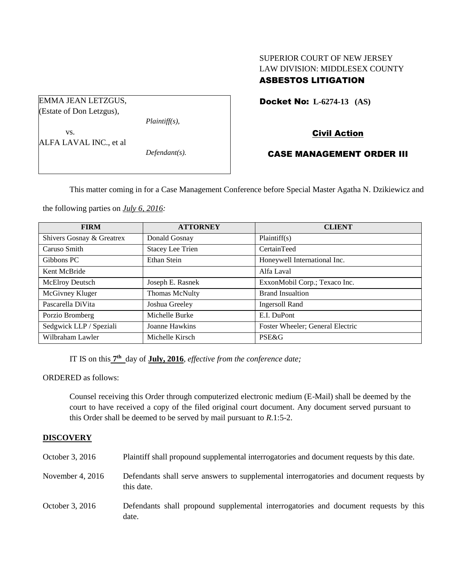# SUPERIOR COURT OF NEW JERSEY LAW DIVISION: MIDDLESEX COUNTY ASBESTOS LITIGATION

Docket No: **L-6274-13 (AS)** 

# Civil Action

## CASE MANAGEMENT ORDER III

This matter coming in for a Case Management Conference before Special Master Agatha N. Dzikiewicz and

the following parties on *July 6, 2016:*

| <b>FIRM</b>               | <b>ATTORNEY</b>         | <b>CLIENT</b>                    |
|---------------------------|-------------------------|----------------------------------|
| Shivers Gosnay & Greatrex | Donald Gosnay           | Plaintiff(s)                     |
| Caruso Smith              | <b>Stacey Lee Trien</b> | CertainTeed                      |
| Gibbons PC                | Ethan Stein             | Honeywell International Inc.     |
| Kent McBride              |                         | Alfa Laval                       |
| McElroy Deutsch           | Joseph E. Rasnek        | ExxonMobil Corp.; Texaco Inc.    |
| McGivney Kluger           | <b>Thomas McNulty</b>   | <b>Brand Insualtion</b>          |
| Pascarella DiVita         | Joshua Greeley          | Ingersoll Rand                   |
| Porzio Bromberg           | Michelle Burke          | E.I. DuPont                      |
| Sedgwick LLP / Speziali   | Joanne Hawkins          | Foster Wheeler; General Electric |
| Wilbraham Lawler          | Michelle Kirsch         | <b>PSE&amp;G</b>                 |

IT IS on this **7 th** day of **July, 2016**, *effective from the conference date;*

ORDERED as follows:

Counsel receiving this Order through computerized electronic medium (E-Mail) shall be deemed by the court to have received a copy of the filed original court document. Any document served pursuant to this Order shall be deemed to be served by mail pursuant to *R*.1:5-2.

#### **DISCOVERY**

| October 3, 2016    | Plaintiff shall propound supplemental interrogatories and document requests by this date.             |
|--------------------|-------------------------------------------------------------------------------------------------------|
| November 4, $2016$ | Defendants shall serve answers to supplemental interrogatories and document requests by<br>this date. |
| October 3, 2016    | Defendants shall propound supplemental interrogatories and document requests by this<br>date.         |

(Estate of Don Letzgus), *Plaintiff(s),* vs. ALFA LAVAL INC., et al *Defendant(s).*

EMMA JEAN LETZGUS,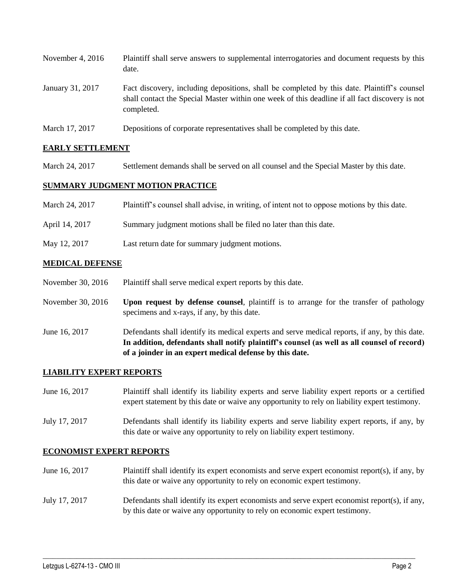| November 4, $2016$ | Plaintiff shall serve answers to supplemental interrogatories and document requests by this<br>date.                                                                                                        |
|--------------------|-------------------------------------------------------------------------------------------------------------------------------------------------------------------------------------------------------------|
| January 31, 2017   | Fact discovery, including depositions, shall be completed by this date. Plaintiff's counsel<br>shall contact the Special Master within one week of this deadline if all fact discovery is not<br>completed. |

March 17, 2017 Depositions of corporate representatives shall be completed by this date.

## **EARLY SETTLEMENT**

March 24, 2017 Settlement demands shall be served on all counsel and the Special Master by this date.

### **SUMMARY JUDGMENT MOTION PRACTICE**

| March 24, 2017 | Plaintiff's counsel shall advise, in writing, of intent not to oppose motions by this date. |
|----------------|---------------------------------------------------------------------------------------------|
| April 14, 2017 | Summary judgment motions shall be filed no later than this date.                            |
| May 12, 2017   | Last return date for summary judgment motions.                                              |

## **MEDICAL DEFENSE**

- November 30, 2016 Plaintiff shall serve medical expert reports by this date.
- November 30, 2016 **Upon request by defense counsel**, plaintiff is to arrange for the transfer of pathology specimens and x-rays, if any, by this date.
- June 16, 2017 Defendants shall identify its medical experts and serve medical reports, if any, by this date. **In addition, defendants shall notify plaintiff's counsel (as well as all counsel of record) of a joinder in an expert medical defense by this date.**

#### **LIABILITY EXPERT REPORTS**

- June 16, 2017 Plaintiff shall identify its liability experts and serve liability expert reports or a certified expert statement by this date or waive any opportunity to rely on liability expert testimony.
- July 17, 2017 Defendants shall identify its liability experts and serve liability expert reports, if any, by this date or waive any opportunity to rely on liability expert testimony.

#### **ECONOMIST EXPERT REPORTS**

- June 16, 2017 Plaintiff shall identify its expert economists and serve expert economist report(s), if any, by this date or waive any opportunity to rely on economic expert testimony.
- July 17, 2017 Defendants shall identify its expert economists and serve expert economist report(s), if any, by this date or waive any opportunity to rely on economic expert testimony.

 $\_$  , and the set of the set of the set of the set of the set of the set of the set of the set of the set of the set of the set of the set of the set of the set of the set of the set of the set of the set of the set of th